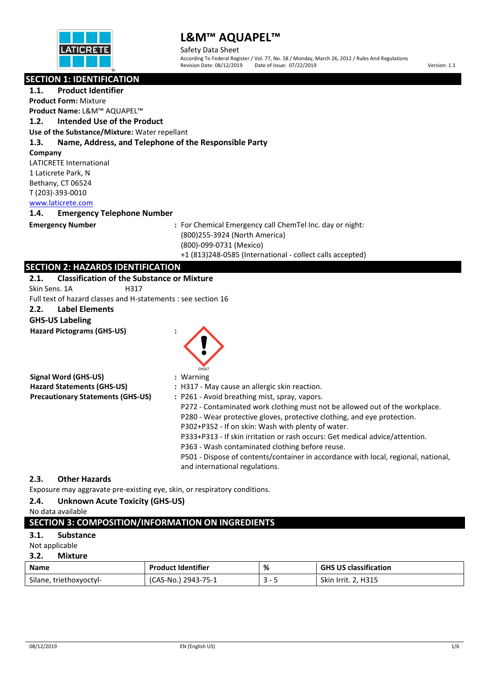

Safety Data Sheet According To Federal Register / Vol. 77, No. 58 / Monday, March 26, 2012 / Rules And Regulations Revision Date: 08/12/2019 Date of Issue: 07/22/2019 Version: 1.1

#### **SECTION 1: IDENTIFICATION**

**1.1. Product Identifier Product Form:** Mixture **Product Name:** L&M™ AQUAPEL™ **1.2. Intended Use of the Product Use of the Substance/Mixture:** Water repellant **1.3. Name, Address, and Telephone of the Responsible Party Company** LATICRETE International 1 Laticrete Park, N Bethany, CT 06524 T (203)-393-0010 [www.laticrete.com](http://www.laticrete.com/) 

#### **1.4. Emergency Telephone Number**

**Emergency Number :** For Chemical Emergency call ChemTel Inc. day or night: (800)255-3924 (North America) (800)-099-0731 (Mexico) +1 (813)248-0585 (International - collect calls accepted)

### **SECTION 2: HAZARDS IDENTIFICATION**

| 2.1.          | <b>Classification of the Substance or Mixture</b> |                                                               |
|---------------|---------------------------------------------------|---------------------------------------------------------------|
| Skin Sens. 1A | H317                                              |                                                               |
|               |                                                   | Full text of hazard classes and H-statements : see section 16 |

#### **2.2. Label Elements**

#### **GHS-US Labeling**

**Hazard Pictograms (GHS-US) :**



| Signal Word (GHS-US)                     | : Warning                                                                          |
|------------------------------------------|------------------------------------------------------------------------------------|
| <b>Hazard Statements (GHS-US)</b>        | : H317 - May cause an allergic skin reaction.                                      |
| <b>Precautionary Statements (GHS-US)</b> | : P261 - Avoid breathing mist, spray, vapors.                                      |
|                                          | P272 - Contaminated work clothing must not be allowed out of the workplace.        |
|                                          | P280 - Wear protective gloves, protective clothing, and eye protection.            |
|                                          | P302+P352 - If on skin: Wash with plenty of water.                                 |
|                                          | P333+P313 - If skin irritation or rash occurs: Get medical advice/attention.       |
|                                          | P363 - Wash contaminated clothing before reuse.                                    |
|                                          | P501 - Dispose of contents/container in accordance with local, regional, national, |
|                                          | and international regulations.                                                     |
|                                          |                                                                                    |

### **2.3. Other Hazards**

Exposure may aggravate pre-existing eye, skin, or respiratory conditions.

### **2.4. Unknown Acute Toxicity (GHS-US)**

## No data available

## **SECTION 3: COMPOSITION/INFORMATION ON INGREDIENTS**

## **3.1. Substance**

### Not applicable

**3.2. Mixture**

| <b>Name</b>             | <b>Product Identifier</b> | % | <b>GHS US classification</b> |
|-------------------------|---------------------------|---|------------------------------|
| Silane, triethoxyoctyl- | (CAS-No.) 2943-75-1       |   | <b>Skin Irrit. 2, H315</b>   |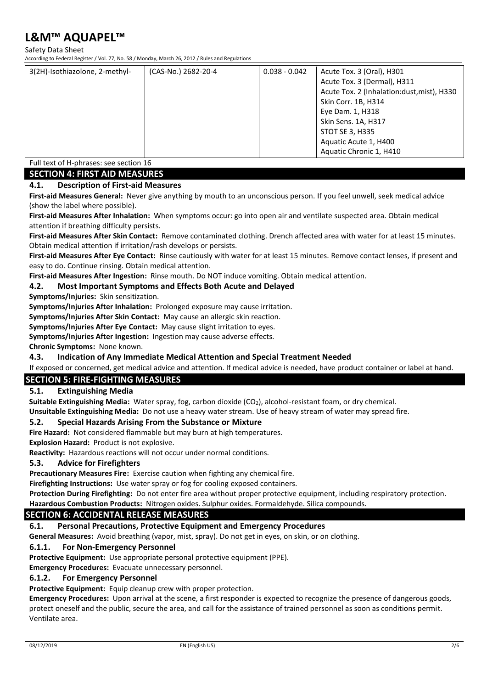#### Safety Data Sheet

According to Federal Register / Vol. 77, No. 58 / Monday, March 26, 2012 / Rules and Regulations

| 3(2H)-Isothiazolone, 2-methyl- | (CAS-No.) 2682-20-4 | $0.038 - 0.042$ | Acute Tox. 3 (Oral), H301                  |
|--------------------------------|---------------------|-----------------|--------------------------------------------|
|                                |                     |                 | Acute Tox. 3 (Dermal), H311                |
|                                |                     |                 | Acute Tox. 2 (Inhalation:dust, mist), H330 |
|                                |                     |                 | Skin Corr. 1B, H314                        |
|                                |                     |                 | Eye Dam. 1, H318                           |
|                                |                     |                 | Skin Sens. 1A, H317                        |
|                                |                     |                 | STOT SE 3, H335                            |
|                                |                     |                 | Aquatic Acute 1, H400                      |
|                                |                     |                 | Aquatic Chronic 1, H410                    |

Full text of H-phrases: see section 16

### **SECTION 4: FIRST AID MEASURES**

#### **4.1. Description of First-aid Measures**

**First-aid Measures General:** Never give anything by mouth to an unconscious person. If you feel unwell, seek medical advice (show the label where possible).

**First-aid Measures After Inhalation:** When symptoms occur: go into open air and ventilate suspected area. Obtain medical attention if breathing difficulty persists.

**First-aid Measures After Skin Contact:** Remove contaminated clothing. Drench affected area with water for at least 15 minutes. Obtain medical attention if irritation/rash develops or persists.

**First-aid Measures After Eye Contact:** Rinse cautiously with water for at least 15 minutes. Remove contact lenses, if present and easy to do. Continue rinsing. Obtain medical attention.

**First-aid Measures After Ingestion:** Rinse mouth. Do NOT induce vomiting. Obtain medical attention.

#### **4.2. Most Important Symptoms and Effects Both Acute and Delayed**

**Symptoms/Injuries:** Skin sensitization.

**Symptoms/Injuries After Inhalation:** Prolonged exposure may cause irritation.

**Symptoms/Injuries After Skin Contact:** May cause an allergic skin reaction.

**Symptoms/Injuries After Eye Contact:** May cause slight irritation to eyes.

**Symptoms/Injuries After Ingestion:** Ingestion may cause adverse effects.

**Chronic Symptoms:** None known.

#### **4.3. Indication of Any Immediate Medical Attention and Special Treatment Needed**

If exposed or concerned, get medical advice and attention. If medical advice is needed, have product container or label at hand.

### **SECTION 5: FIRE-FIGHTING MEASURES**

#### **5.1. Extinguishing Media**

**Suitable Extinguishing Media:** Water spray, fog, carbon dioxide (CO2), alcohol-resistant foam, or dry chemical. **Unsuitable Extinguishing Media:** Do not use a heavy water stream. Use of heavy stream of water may spread fire.

#### **5.2. Special Hazards Arising From the Substance or Mixture**

**Fire Hazard:** Not considered flammable but may burn at high temperatures.

**Explosion Hazard:** Product is not explosive.

**Reactivity:** Hazardous reactions will not occur under normal conditions.

#### **5.3. Advice for Firefighters**

**Precautionary Measures Fire:** Exercise caution when fighting any chemical fire.

**Firefighting Instructions:** Use water spray or fog for cooling exposed containers.

**Protection During Firefighting:** Do not enter fire area without proper protective equipment, including respiratory protection. **Hazardous Combustion Products:** Nitrogen oxides. Sulphur oxides. Formaldehyde. Silica compounds.

### **SECTION 6: ACCIDENTAL RELEASE MEASURES**

#### **6.1. Personal Precautions, Protective Equipment and Emergency Procedures**

**General Measures:** Avoid breathing (vapor, mist, spray). Do not get in eyes, on skin, or on clothing.

#### **6.1.1. For Non-Emergency Personnel**

**Protective Equipment:** Use appropriate personal protective equipment (PPE).

**Emergency Procedures:** Evacuate unnecessary personnel.

#### **6.1.2. For Emergency Personnel**

**Protective Equipment:** Equip cleanup crew with proper protection.

**Emergency Procedures:** Upon arrival at the scene, a first responder is expected to recognize the presence of dangerous goods, protect oneself and the public, secure the area, and call for the assistance of trained personnel as soon as conditions permit. Ventilate area.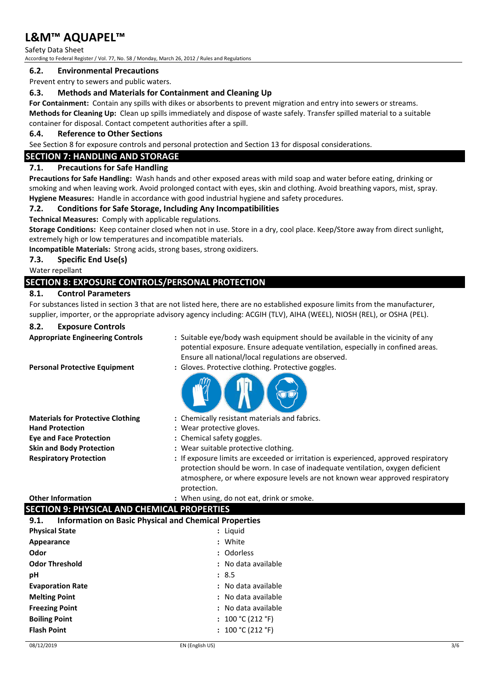Safety Data Sheet According to Federal Register / Vol. 77, No. 58 / Monday, March 26, 2012 / Rules and Regulations

#### **6.2. Environmental Precautions**

Prevent entry to sewers and public waters.

#### **6.3. Methods and Materials for Containment and Cleaning Up**

**For Containment:** Contain any spills with dikes or absorbents to prevent migration and entry into sewers or streams. **Methods for Cleaning Up:** Clean up spills immediately and dispose of waste safely. Transfer spilled material to a suitable container for disposal. Contact competent authorities after a spill.

#### **6.4. Reference to Other Sections**

See Section 8 for exposure controls and personal protection and Section 13 for disposal considerations.

## **SECTION 7: HANDLING AND STORAGE**

### **7.1. Precautions for Safe Handling**

**Precautions for Safe Handling:** Wash hands and other exposed areas with mild soap and water before eating, drinking or smoking and when leaving work. Avoid prolonged contact with eyes, skin and clothing. Avoid breathing vapors, mist, spray. **Hygiene Measures:** Handle in accordance with good industrial hygiene and safety procedures.

### **7.2. Conditions for Safe Storage, Including Any Incompatibilities**

**Technical Measures:** Comply with applicable regulations.

**Storage Conditions:** Keep container closed when not in use. Store in a dry, cool place. Keep/Store away from direct sunlight, extremely high or low temperatures and incompatible materials.

**Incompatible Materials:** Strong acids, strong bases, strong oxidizers.

**7.3. Specific End Use(s)**

Water repellant

## **SECTION 8: EXPOSURE CONTROLS/PERSONAL PROTECTION**

#### **8.1. Control Parameters**

For substances listed in section 3 that are not listed here, there are no established exposure limits from the manufacturer, supplier, importer, or the appropriate advisory agency including: ACGIH (TLV), AIHA (WEEL), NIOSH (REL), or OSHA (PEL).

#### **8.2. Exposure Controls**

| <b>Appropriate Engineering Controls</b> |  |  |
|-----------------------------------------|--|--|
|-----------------------------------------|--|--|

**Personal Protective Equipment :** Gloves. Protective clothing. Protective goggles.

- **:** Suitable eye/body wash equipment should be available in the vicinity of any potential exposure. Ensure adequate ventilation, especially in confined areas. Ensure all national/local regulations are observed.
- 

| : Chemically resistant materials and fabrics.                                                                                                                                                                                                                         |
|-----------------------------------------------------------------------------------------------------------------------------------------------------------------------------------------------------------------------------------------------------------------------|
| : Wear protective gloves.                                                                                                                                                                                                                                             |
| : Chemical safety goggles.                                                                                                                                                                                                                                            |
| : Wear suitable protective clothing.                                                                                                                                                                                                                                  |
| : If exposure limits are exceeded or irritation is experienced, approved respiratory<br>protection should be worn. In case of inadequate ventilation, oxygen deficient<br>atmosphere, or where exposure levels are not known wear approved respiratory<br>protection. |
|                                                                                                                                                                                                                                                                       |

#### **Other Information :** When using, do not eat, drink or smoke.

## **SECTION 9: PHYSICAL AND CHEMICAL PROPERTIES**

| <b>Information on Basic Physical and Chemical Properties</b><br>9.1. |                     |  |  |
|----------------------------------------------------------------------|---------------------|--|--|
| <b>Physical State</b>                                                | : Liquid            |  |  |
| Appearance                                                           | : White             |  |  |
| Odor                                                                 | : Odorless          |  |  |
| <b>Odor Threshold</b>                                                | : No data available |  |  |
| рH                                                                   | : 8.5               |  |  |
| <b>Evaporation Rate</b>                                              | : No data available |  |  |
| <b>Melting Point</b>                                                 | : No data available |  |  |
| <b>Freezing Point</b>                                                | : No data available |  |  |
| <b>Boiling Point</b>                                                 | : $100 °C (212 °F)$ |  |  |
| <b>Flash Point</b>                                                   | : $100 °C (212 °F)$ |  |  |
|                                                                      |                     |  |  |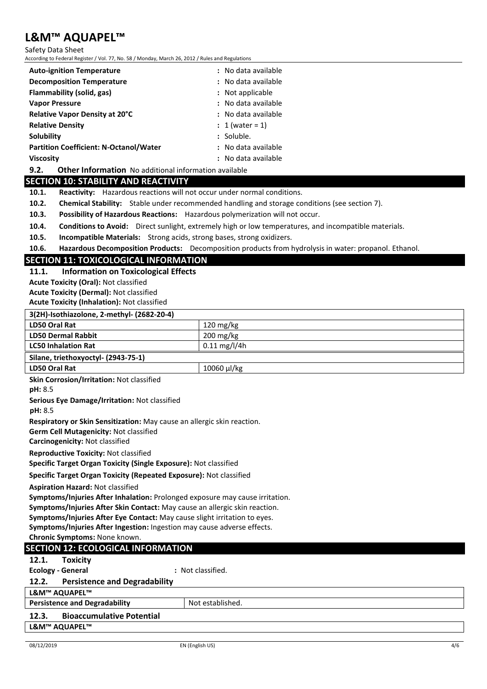Safety Data Sheet

According to Federal Register / Vol. 77, No. 58 / Monday, March 26, 2012 / Rules and Regulations

| <b>Auto-ignition Temperature</b>                                                                              | : No data available |  |
|---------------------------------------------------------------------------------------------------------------|---------------------|--|
| <b>Decomposition Temperature</b>                                                                              | : No data available |  |
| Flammability (solid, gas)                                                                                     | : Not applicable    |  |
| <b>Vapor Pressure</b>                                                                                         | : No data available |  |
| <b>Relative Vapor Density at 20°C</b>                                                                         | : No data available |  |
| <b>Relative Density</b>                                                                                       | : 1 (water = 1)     |  |
| Solubility                                                                                                    | : Soluble.          |  |
| <b>Partition Coefficient: N-Octanol/Water</b>                                                                 | : No data available |  |
| <b>Viscosity</b>                                                                                              | : No data available |  |
| <b>Other Information</b> No additional information available<br>9.2.                                          |                     |  |
| <b>SECTION 10: STABILITY AND REACTIVITY</b>                                                                   |                     |  |
| <b>Reactivity:</b> Hazardous reactions will not occur under normal conditions.<br>10.1.                       |                     |  |
| <b>Chemical Stability:</b> Stable under recommended handling and storage conditions (see section 7).<br>10.2. |                     |  |
| $\sim$ $\sim$                                                                                                 |                     |  |

**10.3. Possibility of Hazardous Reactions:** Hazardous polymerization will not occur.

**10.4. Conditions to Avoid:** Direct sunlight, extremely high or low temperatures, and incompatible materials.

**10.5. Incompatible Materials:** Strong acids, strong bases, strong oxidizers.

**10.6. Hazardous Decomposition Products:** Decomposition products from hydrolysis in water: propanol. Ethanol.

### **SECTION 11: TOXICOLOGICAL INFORMATION**

**11.1. Information on Toxicological Effects**

**Acute Toxicity (Oral):** Not classified

**Acute Toxicity (Dermal):** Not classified

**Acute Toxicity (Inhalation):** Not classified

## **3(2H)-Isothiazolone, 2-methyl- (2682-20-4)**

| <b>JILIII-ISOLIIIGLOIDIIE, L-IIIELIIVI- LLUOL-LU-47</b> |  |  |
|---------------------------------------------------------|--|--|
| 120 mg/kg                                               |  |  |
| $200 \,\mathrm{mg/kg}$                                  |  |  |
| $0.11 \text{ mg/l/4h}$                                  |  |  |
| Silane, triethoxyoctyl- (2943-75-1)                     |  |  |
| 10060 µl/kg                                             |  |  |
|                                                         |  |  |

**Skin Corrosion/Irritation:** Not classified

**pH:** 8.5

**Serious Eye Damage/Irritation:** Not classified

**pH:** 8.5

**Respiratory or Skin Sensitization:** May cause an allergic skin reaction.

**Germ Cell Mutagenicity:** Not classified

**Carcinogenicity:** Not classified

**Reproductive Toxicity:** Not classified

**Specific Target Organ Toxicity (Single Exposure):** Not classified

**Specific Target Organ Toxicity (Repeated Exposure):** Not classified

**Aspiration Hazard:** Not classified

**Symptoms/Injuries After Inhalation:** Prolonged exposure may cause irritation.

**Symptoms/Injuries After Skin Contact:** May cause an allergic skin reaction.

**Symptoms/Injuries After Eye Contact:** May cause slight irritation to eyes.

**Symptoms/Injuries After Ingestion:** Ingestion may cause adverse effects.

**Chronic Symptoms:** None known.

### **SECTION 12: ECOLOGICAL INFORMATION**

**12.1. Toxicity**

**Ecology - General :** Not classified.

#### **12.2. Persistence and Degradability**

| -----<br><b>I CISISCHCC GIRL DCATUGGETILY</b> |                  |  |
|-----------------------------------------------|------------------|--|
| L&M™ AQUAPEL™                                 |                  |  |
| <b>Persistence and Degradability</b>          | Not established. |  |
| <b>Bioaccumulative Potential</b><br>12.3.     |                  |  |
| L&M™ AQUAPEL™                                 |                  |  |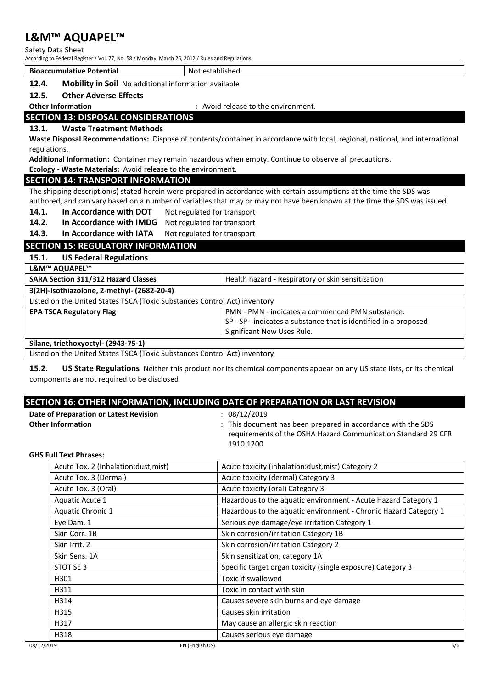Safety Data Sheet

According to Federal Register / Vol. 77, No. 58 / Monday, March 26, 2012 / Rules and Regulations

**Bioaccumulative Potential** Not established.

## **12.4. Mobility in Soil** No additional information available

**12.5. Other Adverse Effects**

## **Other Information by Comment :** Avoid release to the environment.

## **SECTION 13: DISPOSAL CONSIDERATIONS**

#### **13.1. Waste Treatment Methods**

**Waste Disposal Recommendations:** Dispose of contents/container in accordance with local, regional, national, and international regulations.

**Additional Information:** Container may remain hazardous when empty. Continue to observe all precautions.

**Ecology - Waste Materials:** Avoid release to the environment.

#### **SECTION 14: TRANSPORT INFORMATION**

The shipping description(s) stated herein were prepared in accordance with certain assumptions at the time the SDS was authored, and can vary based on a number of variables that may or may not have been known at the time the SDS was issued.

14.1. In Accordance with DOT Not regulated for transport

**14.2. In Accordance with IMDG** Not regulated for transport

**14.3. In Accordance with IATA** Not regulated for transport

## **SECTION 15: REGULATORY INFORMATION**

**15.1. US Federal Regulations**

|  | L&M™ AQUAPEL™ |
|--|---------------|
|--|---------------|

| <b>SARA Section 311/312 Hazard Classes</b>                                | Health hazard - Respiratory or skin sensitization                |  |  |
|---------------------------------------------------------------------------|------------------------------------------------------------------|--|--|
| 3(2H)-Isothiazolone, 2-methyl- (2682-20-4)                                |                                                                  |  |  |
| Listed on the United States TSCA (Toxic Substances Control Act) inventory |                                                                  |  |  |
| <b>EPA TSCA Regulatory Flag</b>                                           | PMN - PMN - indicates a commenced PMN substance.                 |  |  |
|                                                                           | SP - SP - indicates a substance that is identified in a proposed |  |  |
|                                                                           | Significant New Uses Rule.                                       |  |  |
| Silane, triethoxyoctyl- (2943-75-1)                                       |                                                                  |  |  |

Listed on the United States TSCA (Toxic Substances Control Act) inventory

**15.2. US State Regulations** Neither this product nor its chemical components appear on any US state lists, or its chemical components are not required to be disclosed

## **SECTION 16: OTHER INFORMATION, INCLUDING DATE OF PREPARATION OR LAST REVISION**

| Date of Preparation or Latest Revision | 08/12/2019                                                    |
|----------------------------------------|---------------------------------------------------------------|
| <b>Other Information</b>               | : This document has been prepared in accordance with the SDS  |
|                                        | requirements of the OSHA Hazard Communication Standard 29 CFR |
|                                        | 1910.1200                                                     |

#### **GHS Full Text Phrases:**

| Acute Tox. 2 (Inhalation:dust, mist) | Acute toxicity (inhalation:dust, mist) Category 2                |
|--------------------------------------|------------------------------------------------------------------|
| Acute Tox. 3 (Dermal)                | Acute toxicity (dermal) Category 3                               |
| Acute Tox. 3 (Oral)                  | Acute toxicity (oral) Category 3                                 |
| Aquatic Acute 1                      | Hazardous to the aquatic environment - Acute Hazard Category 1   |
| Aquatic Chronic 1                    | Hazardous to the aquatic environment - Chronic Hazard Category 1 |
| Eye Dam. 1                           | Serious eye damage/eye irritation Category 1                     |
| Skin Corr. 1B                        | Skin corrosion/irritation Category 1B                            |
| Skin Irrit. 2                        | Skin corrosion/irritation Category 2                             |
| Skin Sens, 1A                        | Skin sensitization, category 1A                                  |
| STOT SE 3                            | Specific target organ toxicity (single exposure) Category 3      |
| H301                                 | Toxic if swallowed                                               |
| H311                                 | Toxic in contact with skin                                       |
| H314                                 | Causes severe skin burns and eye damage                          |
| H315                                 | Causes skin irritation                                           |
| H317                                 | May cause an allergic skin reaction                              |
| H318                                 | Causes serious eye damage                                        |